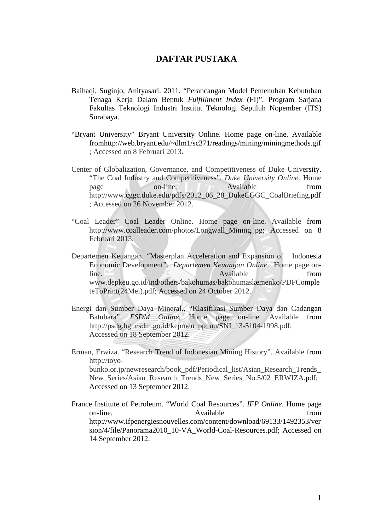## **DAFTAR PUSTAKA**

- Baihaqi, Suginjo, Anityasari. 2011. "Perancangan Model Pemenuhan Kebutuhan Tenaga Kerja Dalam Bentuk *Fulfillment Index* (FI)". Program Sarjana Fakultas Teknologi Industri Institut Teknologi Sepuluh Nopember (ITS) Surabaya.
- "Bryant University" Bryant University Online. Home page on-line. Available fromhttp://web.bryant.edu/~dlm1/sc371/readings/mining/miningmethods.gif ; Accessed on 8 Februari 2013.
- Center of Globalization, Governance, and Competitiveness of Duke University. "The Coal Industry and Competitiveness". *Duke University Online*. Home page on-line. Available from http://www.cggc.duke.edu/pdfs/2012\_06\_28\_DukeCGGC\_CoalBriefing.pdf ; Accessed on 26 November 2012.
- "Coal Leader" Coal Leader Online. Home page on-line. Available from http://www.coalleader.com/photos/Longwall\_Mining.jpg; Accessed on 8 Februari 2013.
- Departemen Keuangan. "Masterplan Acceleration and Expansion of Indonesia Economic Development". *Departemen Keuangan Online*. Home page online. Available from the state of the state of the state of the state of the state of the state of the state of the state of the state of the state of the state of the state of the state of the state of the state of the st www.depkeu.go.id/ind/others/bakohumas/bakohumaskemenko/PDFComple teToPrint(24Mei).pdf; Accessed on 24 October 2012.
- Energi dan Sumber Daya Mineral., "Klasifikasi Sumber Daya dan Cadangan Batubara". *ESDM Online.* Home page on-line*.* Available from http://psdg.bgl.esdm.go.id/kepmen\_pp\_uu/SNI\_13-5104-1998.pdf; Accessed on 18 September 2012.
- Erman, Erwiza. "Research Trend of Indonesian Mining History". Available from http://toyobunko.or.jp/newresearch/book\_pdf/Periodical\_list/Asian\_Research\_Trends New Series/Asian Research Trends New Series No.5/02 ERWIZA.pdf; Accessed on 13 September 2012.
- France Institute of Petroleum. "World Coal Resources". *IFP Online*. Home page on-line. Available from  $\alpha$  Available from  $\alpha$ http://www.ifpenergiesnouvelles.com/content/download/69133/1492353/ver sion/4/file/Panorama2010\_10-VA\_World-Coal-Resources.pdf; Accessed on 14 September 2012.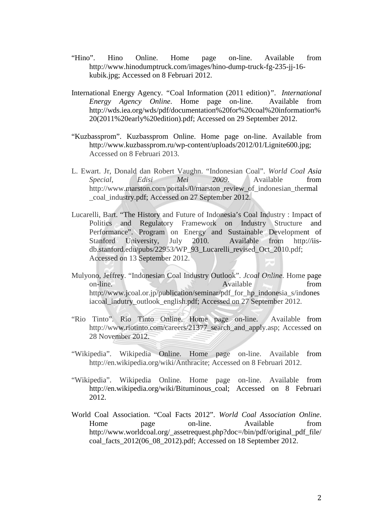- "Hino". Hino Online. Home page on-line. Available from http://www.hinodumptruck.com/images/hino-dump-truck-fg-235-jj-16 kubik.jpg; Accessed on 8 Februari 2012.
- International Energy Agency. *"*Coal Information (2011 edition)*"*. *International Energy Agency Online*. Home page on-line. Available from http://wds.iea.org/wds/pdf/documentation%20for%20coal%20information% 20(2011%20early%20edition).pdf; Accessed on 29 September 2012.
- "Kuzbassprom". Kuzbassprom Online. Home page on-line. Available from http://www.kuzbassprom.ru/wp-content/uploads/2012/01/Lignite600.jpg; Accessed on 8 Februari 2013.
- L. Ewart. Jr, Donald dan Robert Vaughn. "Indonesian Coal". *World Coal Asia Special, Edisi Mei 2009*. Available from http://www.marston.com/portals/0/marston\_review\_of\_indonesian\_thermal \_coal\_industry.pdf; Accessed on 27 September 2012.
- Lucarelli, Bart. "The History and Future of Indonesia's Coal Industry : Impact of Politics and Regulatory Framework on Industry Structure and Performance". Program on Energy and Sustainable Development of Stanford University, July 2010. Available from http://iisdb.stanford.edu/pubs/22953/WP\_93\_Lucarelli\_revised\_Oct\_2010.pdf; Accessed on 13 September 2012.
- Mulyono, Jeffrey. "Indonesian Coal Industry Outlook". *Jcoal Online*. Home page on-line. Available from the state of the state of the state of the state of the state of the state of the state of the state of the state of the state of the state of the state of the state of the state of the state of the http://www.jcoal.or.jp/publication/seminar/pdf\_for\_hp\_indonesia\_s/indones iacoal indutry outlook english.pdf; Accessed on 27 September 2012.
- "Rio Tinto". Rio Tinto Online. Home page on-line. Available from http://www.riotinto.com/careers/21377\_search\_and\_apply.asp; Accessed on 28 November 2012.
- "Wikipedia". Wikipedia Online. Home page on-line. Available from http://en.wikipedia.org/wiki/Anthracite; Accessed on 8 Februari 2012.
- "Wikipedia". Wikipedia Online. Home page on-line. Available from http://en.wikipedia.org/wiki/Bituminous\_coal; Accessed on 8 Februari 2012.
- World Coal Association. "Coal Facts 2012". *World Coal Association Online*. Home page on-line. Available from http://www.worldcoal.org/\_assetrequest.php?doc=/bin/pdf/original\_pdf\_file/ coal\_facts\_2012(06\_08\_2012).pdf; Accessed on 18 September 2012.